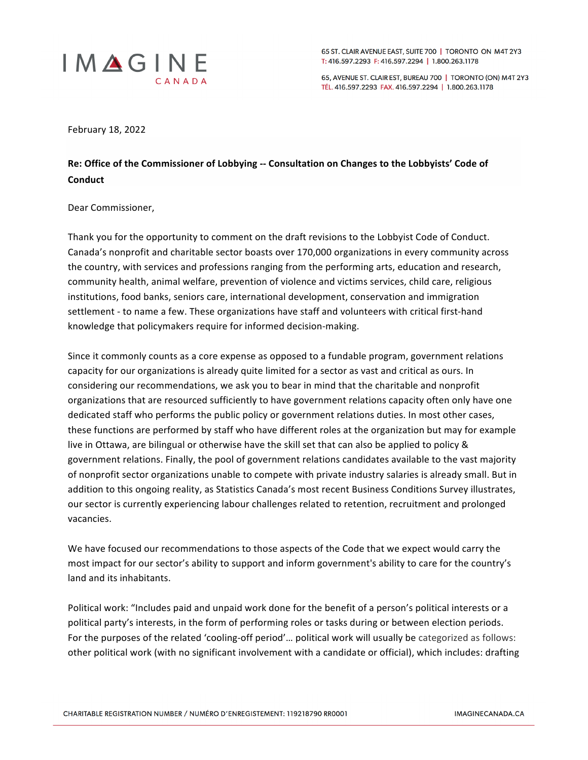

65 ST. CLAIR AVENUE EAST, SUITE 700 | TORONTO ON M4T 2Y3 T: 416.597.2293 F: 416.597.2294 | 1.800.263.1178

65, AVENUE ST. CLAIR EST, BUREAU 700 | TORONTO (ON) M4T 2Y3 TÉL. 416.597.2293 FAX. 416.597.2294 | 1.800.263.1178

February 18, 2022

## Re: Office of the Commissioner of Lobbying -- Consultation on Changes to the Lobbyists' Code of **Conduct**

## Dear Commissioner,

Thank you for the opportunity to comment on the draft revisions to the Lobbyist Code of Conduct. Canada's nonprofit and charitable sector boasts over 170,000 organizations in every community across the country, with services and professions ranging from the performing arts, education and research, community health, animal welfare, prevention of violence and victims services, child care, religious institutions, food banks, seniors care, international development, conservation and immigration settlement - to name a few. These organizations have staff and volunteers with critical first-hand knowledge that policymakers require for informed decision-making.

Since it commonly counts as a core expense as opposed to a fundable program, government relations capacity for our organizations is already quite limited for a sector as vast and critical as ours. In considering our recommendations, we ask you to bear in mind that the charitable and nonprofit organizations that are resourced sufficiently to have government relations capacity often only have one dedicated staff who performs the public policy or government relations duties. In most other cases, these functions are performed by staff who have different roles at the organization but may for example live in Ottawa, are bilingual or otherwise have the skill set that can also be applied to policy & government relations. Finally, the pool of government relations candidates available to the vast majority of nonprofit sector organizations unable to compete with private industry salaries is already small. But in addition to this ongoing reality, as Statistics Canada's most recent Business Conditions Survey illustrates, our sector is currently experiencing labour challenges related to retention, recruitment and prolonged vacancies.

We have focused our recommendations to those aspects of the Code that we expect would carry the most impact for our sector's ability to support and inform government's ability to care for the country's land and its inhabitants.

Political work: "Includes paid and unpaid work done for the benefit of a person's political interests or a political party's interests, in the form of performing roles or tasks during or between election periods. For the purposes of the related 'cooling-off period'... political work will usually be categorized as follows: other political work (with no significant involvement with a candidate or official), which includes: drafting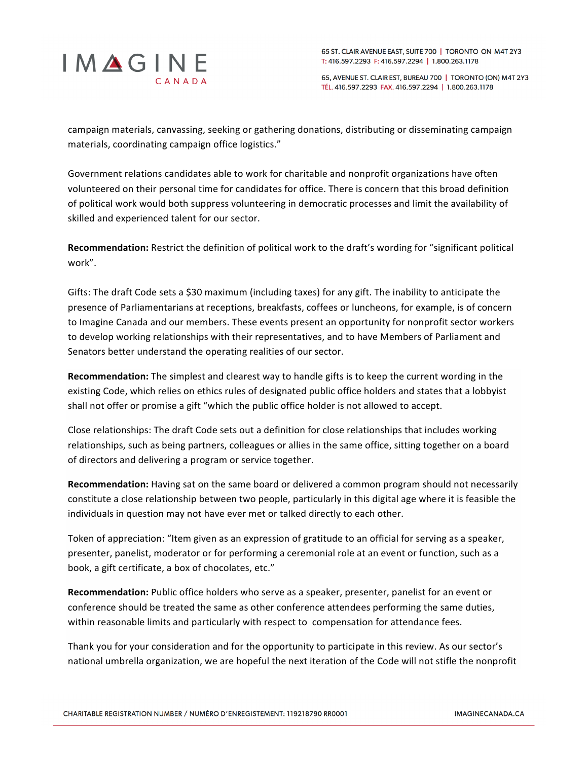

65, AVENUE ST. CLAIR EST, BUREAU 700 | TORONTO (ON) M4T 2Y3 TÉL. 416.597.2293 FAX. 416.597.2294 | 1.800.263.1178

campaign materials, canvassing, seeking or gathering donations, distributing or disseminating campaign materials, coordinating campaign office logistics."

Government relations candidates able to work for charitable and nonprofit organizations have often volunteered on their personal time for candidates for office. There is concern that this broad definition of political work would both suppress volunteering in democratic processes and limit the availability of skilled and experienced talent for our sector.

Recommendation: Restrict the definition of political work to the draft's wording for "significant political work". 

Gifts: The draft Code sets a \$30 maximum (including taxes) for any gift. The inability to anticipate the presence of Parliamentarians at receptions, breakfasts, coffees or luncheons, for example, is of concern to Imagine Canada and our members. These events present an opportunity for nonprofit sector workers to develop working relationships with their representatives, and to have Members of Parliament and Senators better understand the operating realities of our sector.

**Recommendation:** The simplest and clearest way to handle gifts is to keep the current wording in the existing Code, which relies on ethics rules of designated public office holders and states that a lobbyist shall not offer or promise a gift "which the public office holder is not allowed to accept.

Close relationships: The draft Code sets out a definition for close relationships that includes working relationships, such as being partners, colleagues or allies in the same office, sitting together on a board of directors and delivering a program or service together.

**Recommendation:** Having sat on the same board or delivered a common program should not necessarily constitute a close relationship between two people, particularly in this digital age where it is feasible the individuals in question may not have ever met or talked directly to each other.

Token of appreciation: "Item given as an expression of gratitude to an official for serving as a speaker, presenter, panelist, moderator or for performing a ceremonial role at an event or function, such as a book, a gift certificate, a box of chocolates, etc."

**Recommendation:** Public office holders who serve as a speaker, presenter, panelist for an event or conference should be treated the same as other conference attendees performing the same duties, within reasonable limits and particularly with respect to compensation for attendance fees.

Thank you for your consideration and for the opportunity to participate in this review. As our sector's national umbrella organization, we are hopeful the next iteration of the Code will not stifle the nonprofit